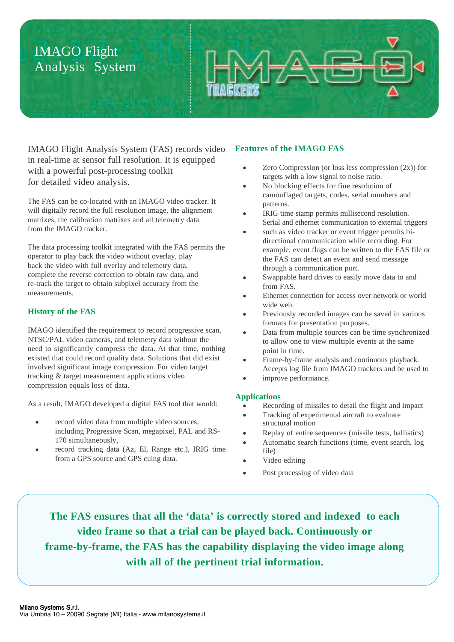# IMAGO Flight Analysis System



IMAGO Flight Analysis System (FAS) records video in real-time at sensor full resolution. It is equipped with a powerful post-processing toolkit for detailed video analysis.

The FAS can be co-located with an IMAGO video tracker. It will digitally record the full resolution image, the alignment matrixes, the calibration matrixes and all telemetry data from the IMAGO tracker.

The data processing toolkit integrated with the FAS permits the operator to play back the video without overlay, play back the video with full overlay and telemetry data, complete the reverse correction to obtain raw data, and re-track the target to obtain subpixel accuracy from the measurements.

## **History of the FAS**

IMAGO identified the requirement to record progressive scan, NTSC/PAL video cameras, and telemetry data without the need to significantly compress the data. At that time, nothing existed that could record quality data. Solutions that did exist involved significant image compression. For video target tracking & target measurement applications video compression equals loss of data.

As a result, IMAGO developed a digital FAS tool that would:

- record video data from multiple video sources, including Progressive Scan, megapixel, PAL and RS-170 simultaneously,
- record tracking data (Az, El, Range etc.), IRIG time from a GPS source and GPS cuing data.

### **Features of the IMAGO FAS**

- Zero Compression (or loss less compression (2x)) for targets with a low signal to noise ratio.
- No blocking effects for fine resolution of camouflaged targets, codes, serial numbers and patterns.
- IRIG time stamp permits millisecond resolution. Serial and ethernet communication to external triggers
- such as video tracker or event trigger permits bidirectional communication while recording. For example, event flags can be written to the FAS file or the FAS can detect an event and send message through a communication port.
- Swappable hard drives to easily move data to and from FAS.
- Ethernet connection for access over network or world wide web.
- Previously recorded images can be saved in various formats for presentation purposes.
- Data from multiple sources can be time synchronized to allow one to view multiple events at the same point in time.
- Frame-by-frame analysis and continuous playback. Accepts log file from IMAGO trackers and be used to
- improve performance.

#### **Applications**

- Recording of missiles to detail the flight and impact
- Tracking of experimental aircraft to evaluate structural motion
- Replay of entire sequences (missile tests, ballistics) Automatic search functions (time, event search, log file)
- Video editing
- Post processing of video data

**The FAS ensures that all the 'data' is correctly stored and indexed to each video frame so that a trial can be played back. Continuously or frame-by-frame, the FAS has the capability displaying the video image along with all of the pertinent trial information.**